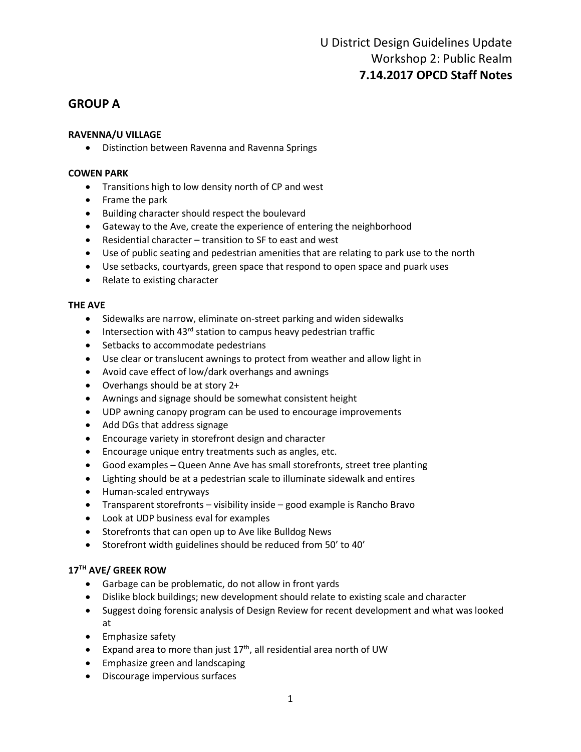### **GROUP A**

#### **RAVENNA/U VILLAGE**

• Distinction between Ravenna and Ravenna Springs

#### **COWEN PARK**

- Transitions high to low density north of CP and west
- Frame the park
- Building character should respect the boulevard
- Gateway to the Ave, create the experience of entering the neighborhood
- Residential character transition to SF to east and west
- Use of public seating and pedestrian amenities that are relating to park use to the north
- Use setbacks, courtyards, green space that respond to open space and puark uses
- Relate to existing character

#### **THE AVE**

- Sidewalks are narrow, eliminate on-street parking and widen sidewalks
- Intersection with  $43^{rd}$  station to campus heavy pedestrian traffic
- Setbacks to accommodate pedestrians
- Use clear or translucent awnings to protect from weather and allow light in
- Avoid cave effect of low/dark overhangs and awnings
- Overhangs should be at story 2+
- Awnings and signage should be somewhat consistent height
- UDP awning canopy program can be used to encourage improvements
- Add DGs that address signage
- Encourage variety in storefront design and character
- Encourage unique entry treatments such as angles, etc.
- Good examples Queen Anne Ave has small storefronts, street tree planting
- Lighting should be at a pedestrian scale to illuminate sidewalk and entires
- Human-scaled entryways
- Transparent storefronts visibility inside good example is Rancho Bravo
- Look at UDP business eval for examples
- Storefronts that can open up to Ave like Bulldog News
- Storefront width guidelines should be reduced from 50' to 40'

#### **17TH AVE/ GREEK ROW**

- Garbage can be problematic, do not allow in front yards
- Dislike block buildings; new development should relate to existing scale and character
- Suggest doing forensic analysis of Design Review for recent development and what was looked at
- Emphasize safety
- Expand area to more than just  $17<sup>th</sup>$ , all residential area north of UW
- Emphasize green and landscaping
- Discourage impervious surfaces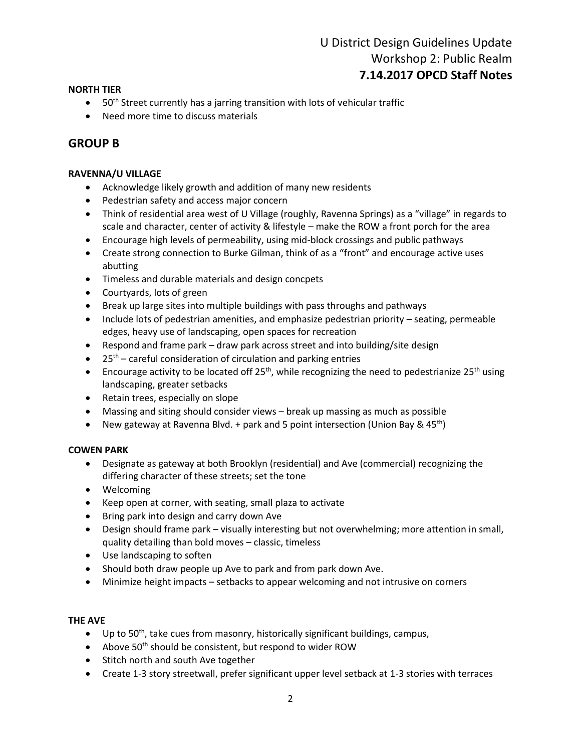## U District Design Guidelines Update Workshop 2: Public Realm **7.14.2017 OPCD Staff Notes**

#### **NORTH TIER**

- $\bullet$  50<sup>th</sup> Street currently has a jarring transition with lots of vehicular traffic
- Need more time to discuss materials

### **GROUP B**

#### **RAVENNA/U VILLAGE**

- Acknowledge likely growth and addition of many new residents
- Pedestrian safety and access major concern
- Think of residential area west of U Village (roughly, Ravenna Springs) as a "village" in regards to scale and character, center of activity & lifestyle – make the ROW a front porch for the area
- Encourage high levels of permeability, using mid-block crossings and public pathways
- Create strong connection to Burke Gilman, think of as a "front" and encourage active uses abutting
- Timeless and durable materials and design concpets
- Courtyards, lots of green
- Break up large sites into multiple buildings with pass throughs and pathways
- Include lots of pedestrian amenities, and emphasize pedestrian priority seating, permeable edges, heavy use of landscaping, open spaces for recreation
- Respond and frame park draw park across street and into building/site design
- $\bullet$  25<sup>th</sup> careful consideration of circulation and parking entries
- Encourage activity to be located off 25<sup>th</sup>, while recognizing the need to pedestrianize 25<sup>th</sup> using landscaping, greater setbacks
- Retain trees, especially on slope
- Massing and siting should consider views break up massing as much as possible
- New gateway at Ravenna Blvd. + park and 5 point intersection (Union Bay & 45<sup>th</sup>)

#### **COWEN PARK**

- Designate as gateway at both Brooklyn (residential) and Ave (commercial) recognizing the differing character of these streets; set the tone
- Welcoming
- Keep open at corner, with seating, small plaza to activate
- Bring park into design and carry down Ave
- Design should frame park visually interesting but not overwhelming; more attention in small, quality detailing than bold moves – classic, timeless
- Use landscaping to soften
- Should both draw people up Ave to park and from park down Ave.
- Minimize height impacts setbacks to appear welcoming and not intrusive on corners

#### **THE AVE**

- $\bullet$  Up to 50<sup>th</sup>, take cues from masonry, historically significant buildings, campus,
- Above  $50<sup>th</sup>$  should be consistent, but respond to wider ROW
- Stitch north and south Ave together
- Create 1-3 story streetwall, prefer significant upper level setback at 1-3 stories with terraces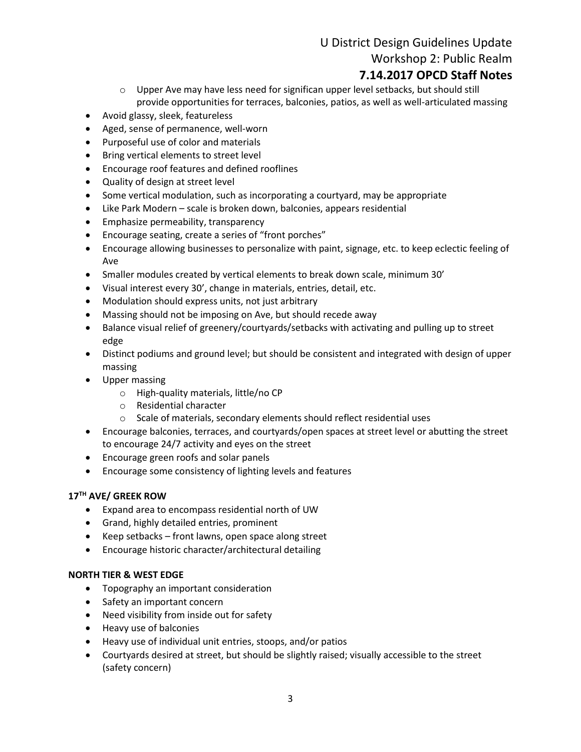# U District Design Guidelines Update Workshop 2: Public Realm

# **7.14.2017 OPCD Staff Notes**

- $\circ$  Upper Ave may have less need for significan upper level setbacks, but should still provide opportunities for terraces, balconies, patios, as well as well-articulated massing
- Avoid glassy, sleek, featureless
- Aged, sense of permanence, well-worn
- Purposeful use of color and materials
- Bring vertical elements to street level
- Encourage roof features and defined rooflines
- Quality of design at street level
- Some vertical modulation, such as incorporating a courtyard, may be appropriate
- Like Park Modern scale is broken down, balconies, appears residential
- Emphasize permeability, transparency
- Encourage seating, create a series of "front porches"
- Encourage allowing businesses to personalize with paint, signage, etc. to keep eclectic feeling of Ave
- Smaller modules created by vertical elements to break down scale, minimum 30'
- Visual interest every 30', change in materials, entries, detail, etc.
- Modulation should express units, not just arbitrary
- Massing should not be imposing on Ave, but should recede away
- Balance visual relief of greenery/courtyards/setbacks with activating and pulling up to street edge
- Distinct podiums and ground level; but should be consistent and integrated with design of upper massing
- Upper massing
	- o High-quality materials, little/no CP
	- o Residential character
	- o Scale of materials, secondary elements should reflect residential uses
- Encourage balconies, terraces, and courtyards/open spaces at street level or abutting the street to encourage 24/7 activity and eyes on the street
- Encourage green roofs and solar panels
- Encourage some consistency of lighting levels and features

#### **17TH AVE/ GREEK ROW**

- Expand area to encompass residential north of UW
- Grand, highly detailed entries, prominent
- Keep setbacks front lawns, open space along street
- Encourage historic character/architectural detailing

#### **NORTH TIER & WEST EDGE**

- Topography an important consideration
- Safety an important concern
- Need visibility from inside out for safety
- Heavy use of balconies
- Heavy use of individual unit entries, stoops, and/or patios
- Courtyards desired at street, but should be slightly raised; visually accessible to the street (safety concern)